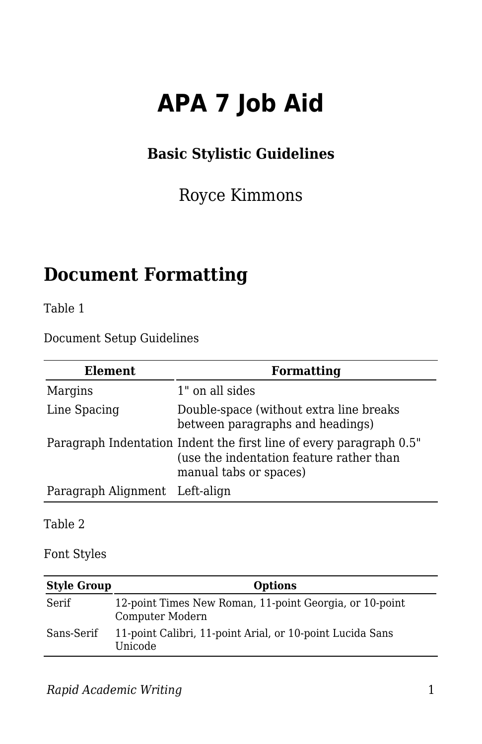# **APA 7 Job Aid**

#### **Basic Stylistic Guidelines**

#### Royce Kimmons

# **Document Formatting**

Table 1

Document Setup Guidelines

| Element                        | Formatting                                                                                                                                |
|--------------------------------|-------------------------------------------------------------------------------------------------------------------------------------------|
| Margins                        | 1" on all sides                                                                                                                           |
| Line Spacing                   | Double-space (without extra line breaks)<br>between paragraphs and headings)                                                              |
|                                | Paragraph Indentation Indent the first line of every paragraph 0.5"<br>(use the indentation feature rather than<br>manual tabs or spaces) |
| Paragraph Alignment Left-align |                                                                                                                                           |
|                                |                                                                                                                                           |

Table 2

Font Styles

| <b>Style Group</b> | <b>Options</b>                                                             |
|--------------------|----------------------------------------------------------------------------|
| Serif              | 12-point Times New Roman, 11-point Georgia, or 10-point<br>Computer Modern |
| Sans-Serif         | 11-point Calibri, 11-point Arial, or 10-point Lucida Sans<br>Unicode       |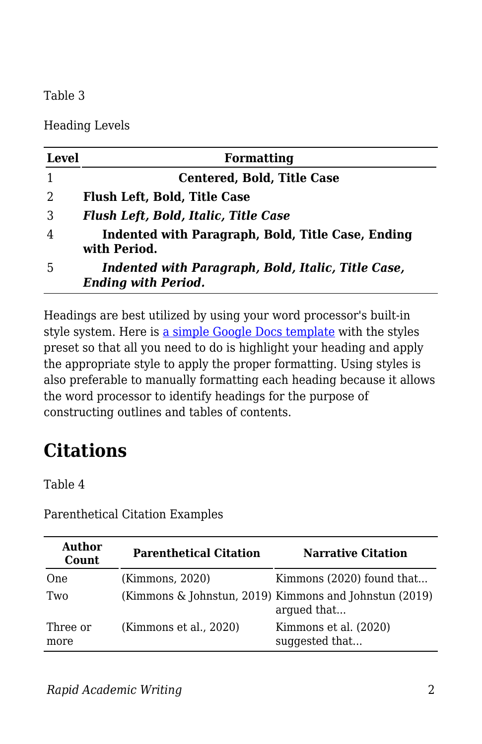#### Table 3

Heading Levels

| Level | <b>Formatting</b>                                                                |
|-------|----------------------------------------------------------------------------------|
|       | <b>Centered, Bold, Title Case</b>                                                |
| 2     | <b>Flush Left, Bold, Title Case</b>                                              |
| 3     | <b>Flush Left, Bold, Italic, Title Case</b>                                      |
| 4     | Indented with Paragraph, Bold, Title Case, Ending<br>with Period.                |
| 5     | Indented with Paragraph, Bold, Italic, Title Case,<br><b>Ending with Period.</b> |

Headings are best utilized by using your word processor's built-in style system. Here is [a simple Google Docs template](https://docs.google.com/document/d/1l2i_qV3AF7m7gPm_FwYyxxcvop4imrlL8NH1zc_Jxt4/copy) with the styles preset so that all you need to do is highlight your heading and apply the appropriate style to apply the proper formatting. Using styles is also preferable to manually formatting each heading because it allows the word processor to identify headings for the purpose of constructing outlines and tables of contents.

# **Citations**

Table 4

| Author<br>Count  | <b>Parenthetical Citation</b> | <b>Narrative Citation</b>                                             |
|------------------|-------------------------------|-----------------------------------------------------------------------|
| One              | (Kimmons, 2020)               | Kimmons (2020) found that                                             |
| Two              |                               | (Kimmons & Johnstun, 2019) Kimmons and Johnstun (2019)<br>argued that |
| Three or<br>more | (Kimmons et al., 2020)        | Kimmons et al. (2020)<br>suggested that                               |

Parenthetical Citation Examples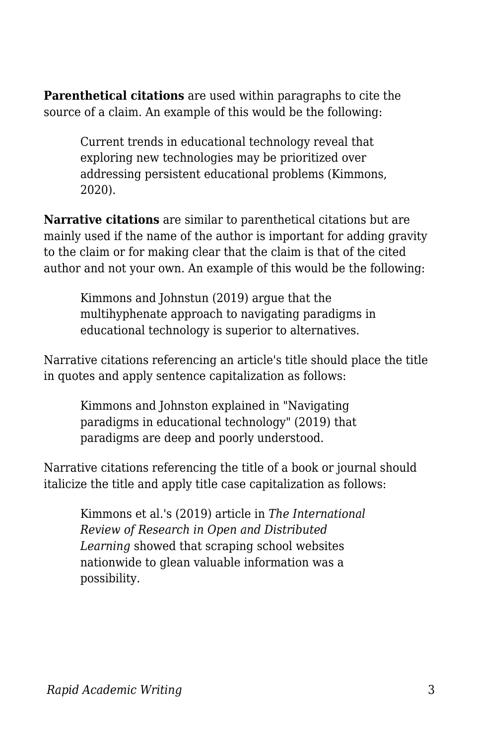**Parenthetical citations** are used within paragraphs to cite the source of a claim. An example of this would be the following:

> Current trends in educational technology reveal that exploring new technologies may be prioritized over addressing persistent educational problems (Kimmons, 2020).

**Narrative citations** are similar to parenthetical citations but are mainly used if the name of the author is important for adding gravity to the claim or for making clear that the claim is that of the cited author and not your own. An example of this would be the following:

Kimmons and Johnstun (2019) argue that the multihyphenate approach to navigating paradigms in educational technology is superior to alternatives.

Narrative citations referencing an article's title should place the title in quotes and apply sentence capitalization as follows:

Kimmons and Johnston explained in "Navigating paradigms in educational technology" (2019) that paradigms are deep and poorly understood.

Narrative citations referencing the title of a book or journal should italicize the title and apply title case capitalization as follows:

Kimmons et al.'s (2019) article in *The International Review of Research in Open and Distributed Learning* showed that scraping school websites nationwide to glean valuable information was a possibility.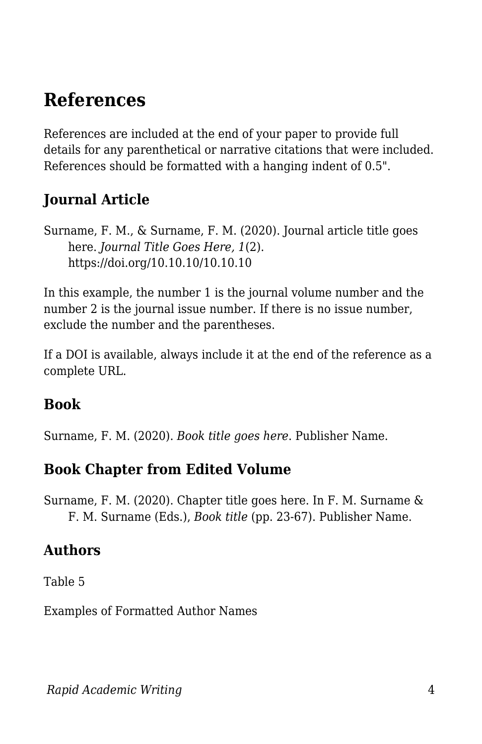#### **References**

References are included at the end of your paper to provide full details for any parenthetical or narrative citations that were included. References should be formatted with a hanging indent of 0.5".

#### **Journal Article**

Surname, F. M., & Surname, F. M. (2020). Journal article title goes here. *Journal Title Goes Here, 1*(2). https://doi.org/10.10.10/10.10.10

In this example, the number 1 is the journal volume number and the number 2 is the journal issue number. If there is no issue number, exclude the number and the parentheses.

If a DOI is available, always include it at the end of the reference as a complete URL.

#### **Book**

Surname, F. M. (2020). *Book title goes here*. Publisher Name.

#### **Book Chapter from Edited Volume**

Surname, F. M. (2020). Chapter title goes here. In F. M. Surname & F. M. Surname (Eds.), *Book title* (pp. 23-67). Publisher Name.

#### **Authors**

Table 5

Examples of Formatted Author Names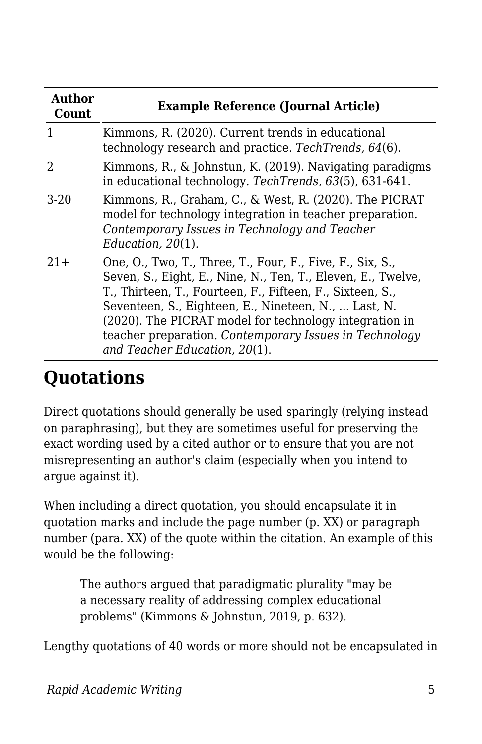| Author<br>Count | <b>Example Reference (Journal Article)</b>                                                                                                                                                                                                                                                                                                                                                          |  |
|-----------------|-----------------------------------------------------------------------------------------------------------------------------------------------------------------------------------------------------------------------------------------------------------------------------------------------------------------------------------------------------------------------------------------------------|--|
| 1               | Kimmons, R. (2020). Current trends in educational<br>technology research and practice. TechTrends, 64(6).                                                                                                                                                                                                                                                                                           |  |
| 2               | Kimmons, R., & Johnstun, K. (2019). Navigating paradigms<br>in educational technology. TechTrends, 63(5), 631-641.                                                                                                                                                                                                                                                                                  |  |
| $3-20$          | Kimmons, R., Graham, C., & West, R. (2020). The PICRAT<br>model for technology integration in teacher preparation.<br>Contemporary Issues in Technology and Teacher<br>Education, $20(1)$ .                                                                                                                                                                                                         |  |
| $21+$           | One, O., Two, T., Three, T., Four, F., Five, F., Six, S.,<br>Seven, S., Eight, E., Nine, N., Ten, T., Eleven, E., Twelve,<br>T., Thirteen, T., Fourteen, F., Fifteen, F., Sixteen, S.,<br>Seventeen, S., Eighteen, E., Nineteen, N.,  Last, N.<br>(2020). The PICRAT model for technology integration in<br>teacher preparation. Contemporary Issues in Technology<br>and Teacher Education, 20(1). |  |

# **Quotations**

Direct quotations should generally be used sparingly (relying instead on paraphrasing), but they are sometimes useful for preserving the exact wording used by a cited author or to ensure that you are not misrepresenting an author's claim (especially when you intend to argue against it).

When including a direct quotation, you should encapsulate it in quotation marks and include the page number (p. XX) or paragraph number (para. XX) of the quote within the citation. An example of this would be the following:

The authors argued that paradigmatic plurality "may be a necessary reality of addressing complex educational problems" (Kimmons & Johnstun, 2019, p. 632).

Lengthy quotations of 40 words or more should not be encapsulated in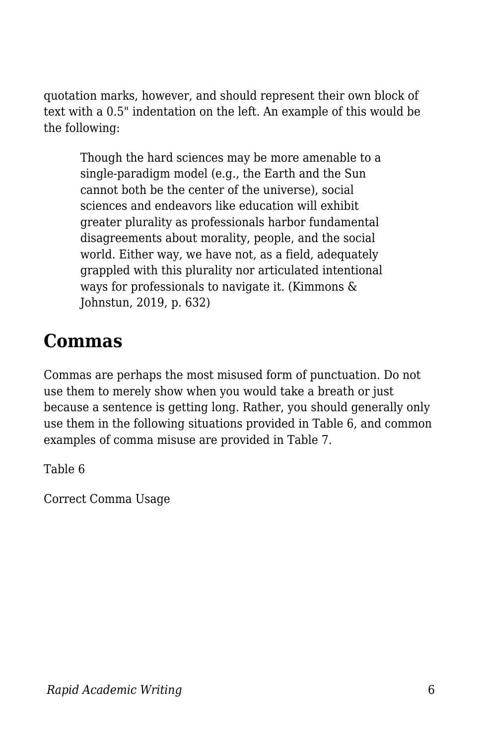quotation marks, however, and should represent their own block of text with a 0.5" indentation on the left. An example of this would be the following:

Though the hard sciences may be more amenable to a single-paradigm model (e.g., the Earth and the Sun cannot both be the center of the universe), social sciences and endeavors like education will exhibit greater plurality as professionals harbor fundamental disagreements about morality, people, and the social world. Either way, we have not, as a field, adequately grappled with this plurality nor articulated intentional ways for professionals to navigate it. (Kimmons & Johnstun, 2019, p. 632)

### **Commas**

Commas are perhaps the most misused form of punctuation. Do not use them to merely show when you would take a breath or just because a sentence is getting long. Rather, you should generally only use them in the following situations provided in Table 6, and common examples of comma misuse are provided in Table 7.

Table 6

Correct Comma Usage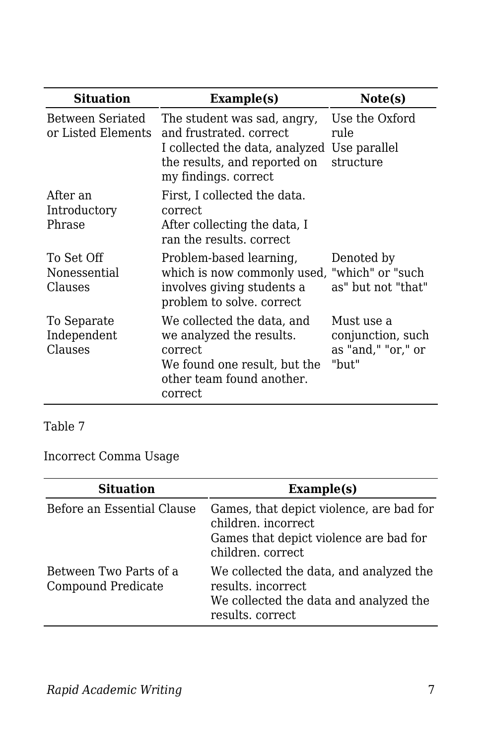| <b>Situation</b>                       | Example(s)                                                                                                                                                    | Note(s)                                                        |
|----------------------------------------|---------------------------------------------------------------------------------------------------------------------------------------------------------------|----------------------------------------------------------------|
| Between Seriated<br>or Listed Elements | The student was sad, angry,<br>and frustrated, correct<br>I collected the data, analyzed Use parallel<br>the results, and reported on<br>my findings. correct | Use the Oxford<br>rule<br>structure                            |
| After an<br>Introductory<br>Phrase     | First, I collected the data.<br>correct.<br>After collecting the data, I<br>ran the results, correct                                                          |                                                                |
| To Set Off<br>Nonessential<br>Clauses  | Problem-based learning,<br>which is now commonly used, "which" or "such<br>involves giving students a<br>problem to solve. correct                            | Denoted by<br>as" but not "that"                               |
| To Separate<br>Independent<br>Clauses  | We collected the data, and<br>we analyzed the results.<br>correct<br>We found one result, but the<br>other team found another.<br>correct                     | Must use a<br>conjunction, such<br>as "and," "or," or<br>"but" |

Table 7

Incorrect Comma Usage

| <b>Situation</b>                             | Example(s)                                                                                                                     |
|----------------------------------------------|--------------------------------------------------------------------------------------------------------------------------------|
| Before an Essential Clause                   | Games, that depict violence, are bad for<br>children, incorrect<br>Games that depict violence are bad for<br>children. correct |
| Between Two Parts of a<br>Compound Predicate | We collected the data, and analyzed the<br>results. incorrect<br>We collected the data and analyzed the<br>results. correct    |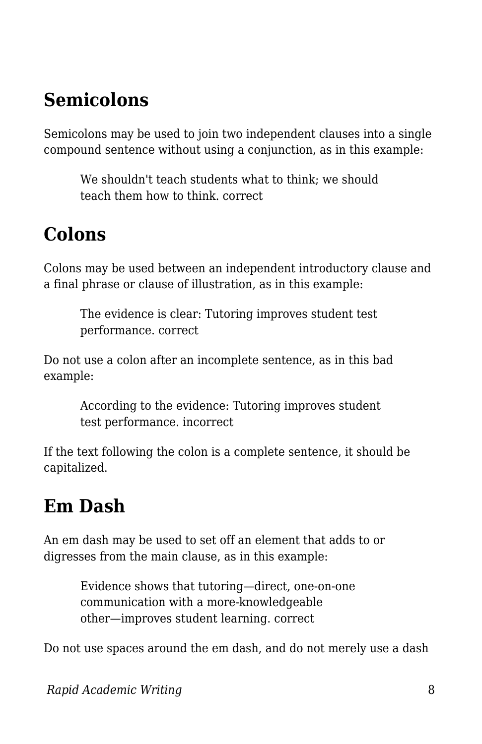# **Semicolons**

Semicolons may be used to join two independent clauses into a single compound sentence without using a conjunction, as in this example:

We shouldn't teach students what to think; we should teach them how to think. correct

### **Colons**

Colons may be used between an independent introductory clause and a final phrase or clause of illustration, as in this example:

The evidence is clear: Tutoring improves student test performance. correct

Do not use a colon after an incomplete sentence, as in this bad example:

> According to the evidence: Tutoring improves student test performance. incorrect

If the text following the colon is a complete sentence, it should be capitalized.

# **Em Dash**

An em dash may be used to set off an element that adds to or digresses from the main clause, as in this example:

> Evidence shows that tutoring—direct, one-on-one communication with a more-knowledgeable other—improves student learning. correct

Do not use spaces around the em dash, and do not merely use a dash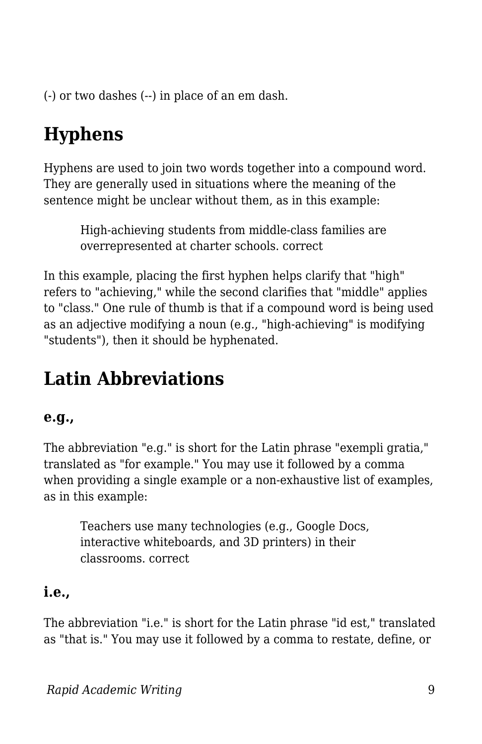(-) or two dashes (--) in place of an em dash.

# **Hyphens**

Hyphens are used to join two words together into a compound word. They are generally used in situations where the meaning of the sentence might be unclear without them, as in this example:

High-achieving students from middle-class families are overrepresented at charter schools. correct

In this example, placing the first hyphen helps clarify that "high" refers to "achieving," while the second clarifies that "middle" applies to "class." One rule of thumb is that if a compound word is being used as an adjective modifying a noun (e.g., "high-achieving" is modifying "students"), then it should be hyphenated.

# **Latin Abbreviations**

#### **e.g.,**

The abbreviation "e.g." is short for the Latin phrase "exempli gratia," translated as "for example." You may use it followed by a comma when providing a single example or a non-exhaustive list of examples, as in this example:

Teachers use many technologies (e.g., Google Docs, interactive whiteboards, and 3D printers) in their classrooms. correct

#### **i.e.,**

The abbreviation "i.e." is short for the Latin phrase "id est," translated as "that is." You may use it followed by a comma to restate, define, or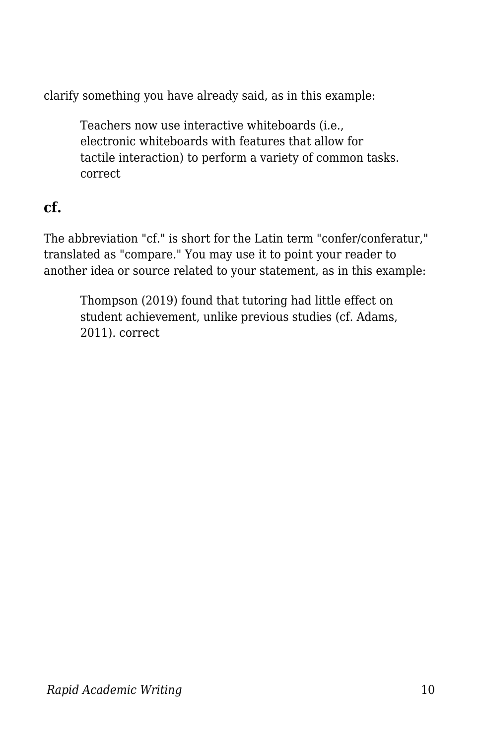clarify something you have already said, as in this example:

Teachers now use interactive whiteboards (i.e., electronic whiteboards with features that allow for tactile interaction) to perform a variety of common tasks. correct

#### **cf.**

The abbreviation "cf." is short for the Latin term "confer/conferatur," translated as "compare." You may use it to point your reader to another idea or source related to your statement, as in this example:

Thompson (2019) found that tutoring had little effect on student achievement, unlike previous studies (cf. Adams, 2011). correct